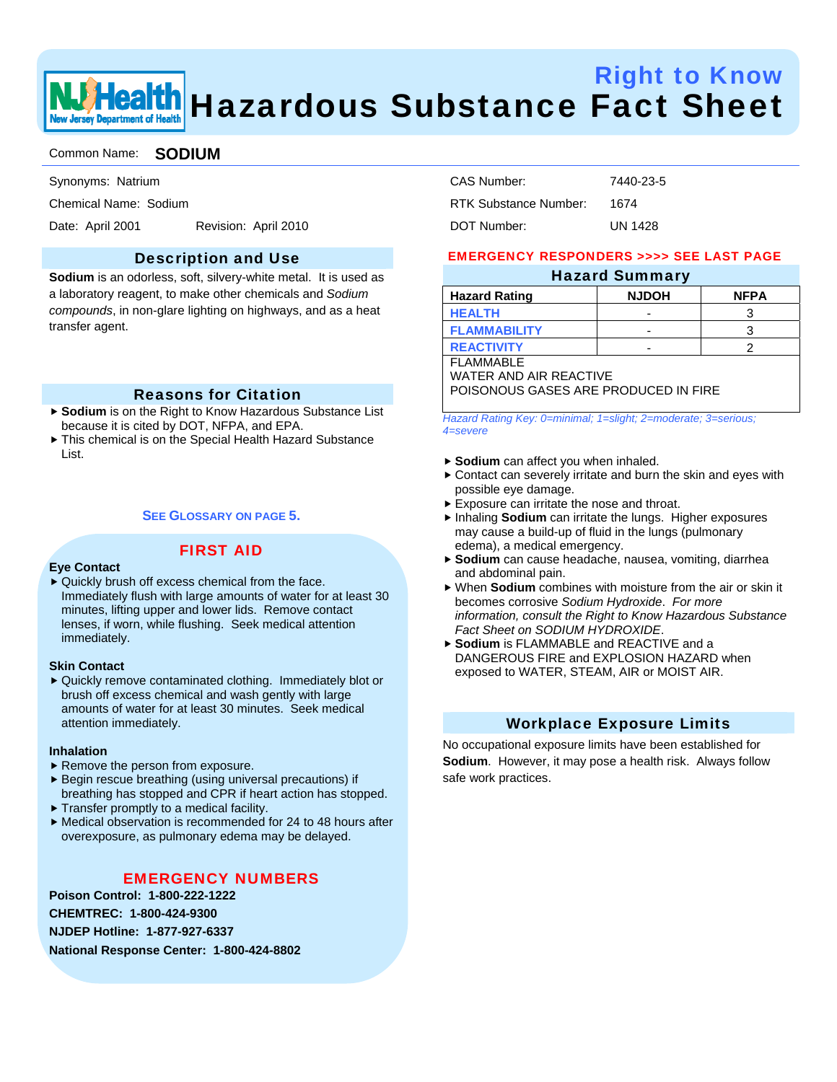# Right to Know lealth Hazardous Substance Fact Sheet **New Jersey Department of Health**

## Common Name: **SODIUM**

Synonyms: Natrium

Chemical Name: Sodium

Date: April 2001 Revision: April 2010

## Description and Use

**Sodium** is an odorless, soft, silvery-white metal. It is used as a laboratory reagent, to make other chemicals and *Sodium compounds*, in non-glare lighting on highways, and as a heat transfer agent.

## Reasons for Citation

- ▶ Sodium is on the Right to Know Hazardous Substance List because it is cited by DOT, NFPA, and EPA.
- $\triangleright$  This chemical is on the Special Health Hazard Substance List.

#### **SEE GLOSSARY ON PAGE 5.**

FIRST AID

#### **Eye Contact**

 $\blacktriangleright$  Quickly brush off excess chemical from the face. Immediately flush with large amounts of water for at least 30 minutes, lifting upper and lower lids. Remove contact lenses, if worn, while flushing. Seek medical attention immediately.

#### **Skin Contact**

▶ Quickly remove contaminated clothing. Immediately blot or brush off excess chemical and wash gently with large amounts of water for at least 30 minutes. Seek medical attention immediately.

#### **Inhalation**

- $\blacktriangleright$  Remove the person from exposure.
- $\blacktriangleright$  Begin rescue breathing (using universal precautions) if breathing has stopped and CPR if heart action has stopped.
- $\blacktriangleright$  Transfer promptly to a medical facility.
- $\blacktriangleright$  Medical observation is recommended for 24 to 48 hours after overexposure, as pulmonary edema may be delayed.

## EMERGENCY NUMBERS

**Poison Control: 1-800-222-1222 CHEMTREC: 1-800-424-9300 NJDEP Hotline: 1-877-927-6337 National Response Center: 1-800-424-8802** 

| CAS Number:           | 7440-23-5      |
|-----------------------|----------------|
| RTK Substance Number: | 1674           |
| DOT Number:           | <b>UN 1428</b> |

#### EMERGENCY RESPONDERS >>>> SEE LAST PAGE

#### Hazard Summary

| <b>Hazard Rating</b> | <b>NJDOH</b> | <b>NFPA</b> |
|----------------------|--------------|-------------|
| <b>HEALTH</b>        | -            |             |
| <b>FLAMMABILITY</b>  | -            |             |
| <b>REACTIVITY</b>    | -            |             |

FLAMMABLE

WATER AND AIR REACTIVE POISONOUS GASES ARE PRODUCED IN FIRE

*Hazard Rating Key: 0=minimal; 1=slight; 2=moderate; 3=serious; 4=severe*

- **Sodium** can affect you when inhaled.
- $\triangleright$  Contact can severely irritate and burn the skin and eyes with possible eye damage.
- $\blacktriangleright$  Exposure can irritate the nose and throat.
- **h** Inhaling Sodium can irritate the lungs. Higher exposures may cause a build-up of fluid in the lungs (pulmonary edema), a medical emergency.
- ▶ Sodium can cause headache, nausea, vomiting, diarrhea and abdominal pain.
- ▶ When Sodium combines with moisture from the air or skin it becomes corrosive *Sodium Hydroxide*. *For more information, consult the Right to Know Hazardous Substance Fact Sheet on SODIUM HYDROXIDE*.
- f **Sodium** is FLAMMABLE and REACTIVE and a DANGEROUS FIRE and EXPLOSION HAZARD when exposed to WATER, STEAM, AIR or MOIST AIR.

### Workplace Exposure Limits

No occupational exposure limits have been established for **Sodium**. However, it may pose a health risk. Always follow safe work practices.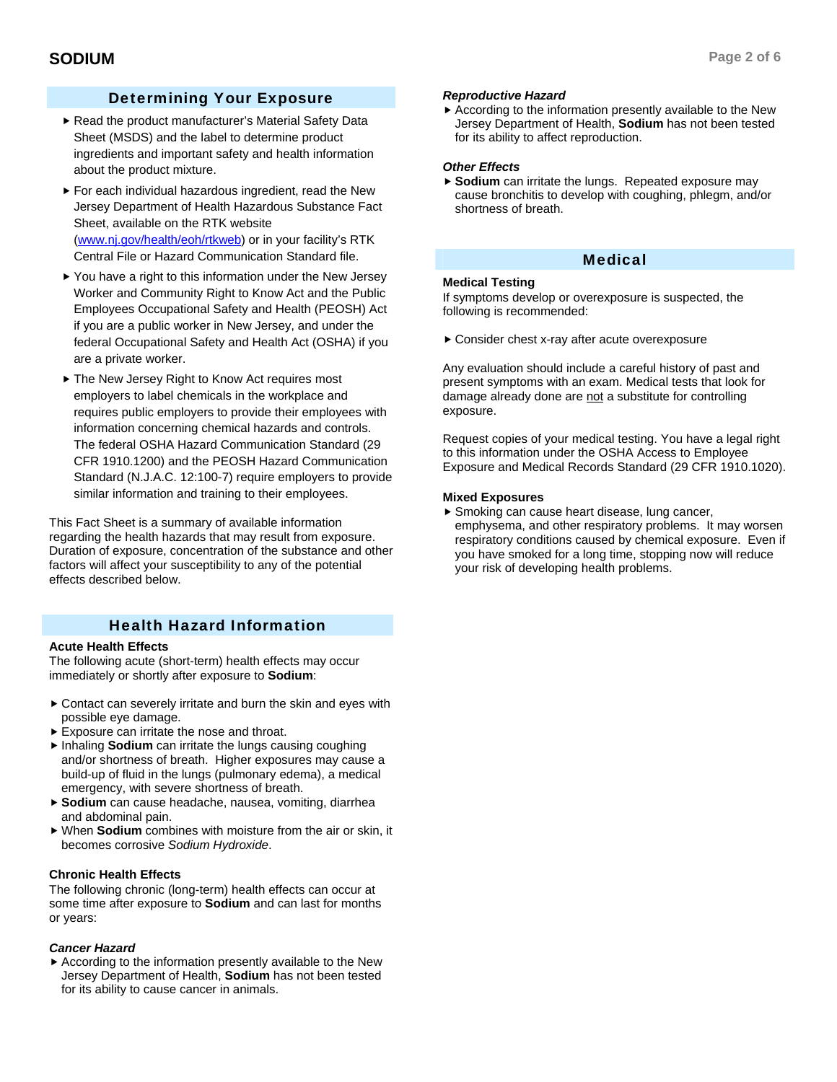## Determining Your Exposure

- Read the product manufacturer's Material Safety Data Sheet (MSDS) and the label to determine product ingredients and important safety and health information about the product mixture.
- $\blacktriangleright$  For each individual hazardous ingredient, read the New Jersey Department of Health Hazardous Substance Fact Sheet, available on the RTK website (www.nj.gov/health/eoh/rtkweb) or in your facility's RTK Central File or Hazard Communication Standard file.
- $\blacktriangleright$  You have a right to this information under the New Jersey Worker and Community Right to Know Act and the Public Employees Occupational Safety and Health (PEOSH) Act if you are a public worker in New Jersey, and under the federal Occupational Safety and Health Act (OSHA) if you are a private worker.
- ▶ The New Jersey Right to Know Act requires most employers to label chemicals in the workplace and requires public employers to provide their employees with information concerning chemical hazards and controls. The federal OSHA Hazard Communication Standard (29 CFR 1910.1200) and the PEOSH Hazard Communication Standard (N.J.A.C. 12:100-7) require employers to provide similar information and training to their employees.

This Fact Sheet is a summary of available information regarding the health hazards that may result from exposure. Duration of exposure, concentration of the substance and other factors will affect your susceptibility to any of the potential effects described below.

## Health Hazard Information

#### **Acute Health Effects**

The following acute (short-term) health effects may occur immediately or shortly after exposure to **Sodium**:

- $\triangleright$  Contact can severely irritate and burn the skin and eyes with possible eye damage.
- $\blacktriangleright$  Exposure can irritate the nose and throat.
- **F** Inhaling **Sodium** can irritate the lungs causing coughing and/or shortness of breath. Higher exposures may cause a build-up of fluid in the lungs (pulmonary edema), a medical emergency, with severe shortness of breath.
- ▶ Sodium can cause headache, nausea, vomiting, diarrhea and abdominal pain.
- ▶ When Sodium combines with moisture from the air or skin, it becomes corrosive *Sodium Hydroxide*.

#### **Chronic Health Effects**

The following chronic (long-term) health effects can occur at some time after exposure to **Sodium** and can last for months or years:

#### *Cancer Hazard*

 $\blacktriangleright$  According to the information presently available to the New Jersey Department of Health, **Sodium** has not been tested for its ability to cause cancer in animals.

#### *Reproductive Hazard*

 $\blacktriangleright$  According to the information presently available to the New Jersey Department of Health, **Sodium** has not been tested for its ability to affect reproduction.

#### *Other Effects*

▶ Sodium can irritate the lungs. Repeated exposure may cause bronchitis to develop with coughing, phlegm, and/or shortness of breath.

## Medical

#### **Medical Testing**

If symptoms develop or overexposure is suspected, the following is recommended:

 $\triangleright$  Consider chest x-ray after acute overexposure

Any evaluation should include a careful history of past and present symptoms with an exam. Medical tests that look for damage already done are not a substitute for controlling exposure.

Request copies of your medical testing. You have a legal right to this information under the OSHA Access to Employee Exposure and Medical Records Standard (29 CFR 1910.1020).

#### **Mixed Exposures**

▶ Smoking can cause heart disease, lung cancer, emphysema, and other respiratory problems. It may worsen respiratory conditions caused by chemical exposure. Even if you have smoked for a long time, stopping now will reduce your risk of developing health problems.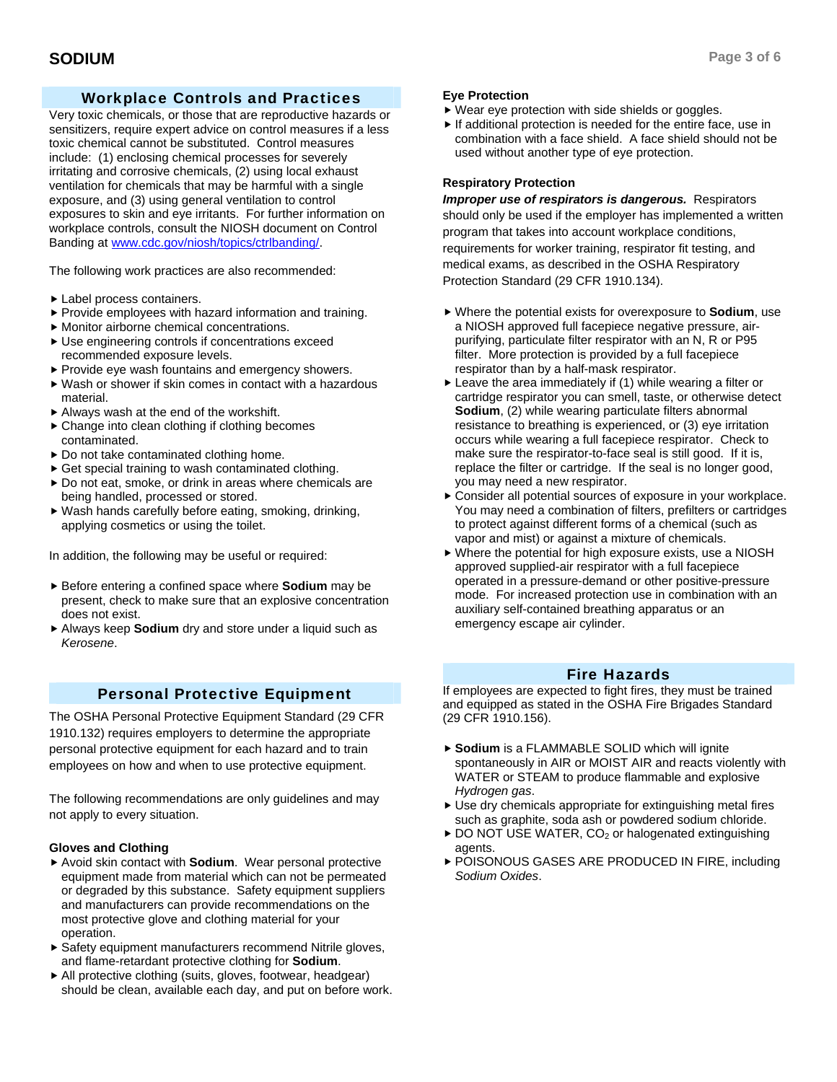## Workplace Controls and Practices

Very toxic chemicals, or those that are reproductive hazards or sensitizers, require expert advice on control measures if a less toxic chemical cannot be substituted. Control measures include: (1) enclosing chemical processes for severely irritating and corrosive chemicals, (2) using local exhaust ventilation for chemicals that may be harmful with a single exposure, and (3) using general ventilation to control exposures to skin and eye irritants. For further information on workplace controls, consult the NIOSH document on Control Banding at www.cdc.gov/niosh/topics/ctrlbanding/.

The following work practices are also recommended:

- $\blacktriangleright$  Label process containers.
- $\blacktriangleright$  Provide employees with hazard information and training.
- $\blacktriangleright$  Monitor airborne chemical concentrations.
- $\blacktriangleright$  Use engineering controls if concentrations exceed recommended exposure levels.
- $\blacktriangleright$  Provide eye wash fountains and emergency showers.
- $\blacktriangleright$  Wash or shower if skin comes in contact with a hazardous material.
- $\blacktriangleright$  Always wash at the end of the workshift.
- $\triangleright$  Change into clean clothing if clothing becomes contaminated.
- $\triangleright$  Do not take contaminated clothing home.
- $\triangleright$  Get special training to wash contaminated clothing.
- $\triangleright$  Do not eat, smoke, or drink in areas where chemicals are being handled, processed or stored.
- $\blacktriangleright$  Wash hands carefully before eating, smoking, drinking, applying cosmetics or using the toilet.

In addition, the following may be useful or required:

- ▶ Before entering a confined space where **Sodium** may be present, check to make sure that an explosive concentration does not exist.
- f Always keep **Sodium** dry and store under a liquid such as *Kerosene*.

## Personal Protective Equipment

The OSHA Personal Protective Equipment Standard (29 CFR 1910.132) requires employers to determine the appropriate personal protective equipment for each hazard and to train employees on how and when to use protective equipment.

The following recommendations are only guidelines and may not apply to every situation.

### **Gloves and Clothing**

- ▶ Avoid skin contact with **Sodium**. Wear personal protective equipment made from material which can not be permeated or degraded by this substance. Safety equipment suppliers and manufacturers can provide recommendations on the most protective glove and clothing material for your operation.
- $\triangleright$  Safety equipment manufacturers recommend Nitrile gloves, and flame-retardant protective clothing for **Sodium**.
- $\blacktriangleright$  All protective clothing (suits, gloves, footwear, headgear) should be clean, available each day, and put on before work.

#### **Eye Protection**

- $\blacktriangleright$  Wear eye protection with side shields or goggles.
- $\blacktriangleright$  If additional protection is needed for the entire face, use in combination with a face shield. A face shield should not be used without another type of eye protection.

#### **Respiratory Protection**

*Improper use of respirators is dangerous.* Respirators should only be used if the employer has implemented a written program that takes into account workplace conditions, requirements for worker training, respirator fit testing, and medical exams, as described in the OSHA Respiratory Protection Standard (29 CFR 1910.134).

- Where the potential exists for overexposure to **Sodium**, use a NIOSH approved full facepiece negative pressure, airpurifying, particulate filter respirator with an N, R or P95 filter. More protection is provided by a full facepiece respirator than by a half-mask respirator.
- $\blacktriangleright$  Leave the area immediately if (1) while wearing a filter or cartridge respirator you can smell, taste, or otherwise detect **Sodium**, (2) while wearing particulate filters abnormal resistance to breathing is experienced, or (3) eye irritation occurs while wearing a full facepiece respirator. Check to make sure the respirator-to-face seal is still good. If it is, replace the filter or cartridge. If the seal is no longer good, you may need a new respirator.
- $\triangleright$  Consider all potential sources of exposure in your workplace. You may need a combination of filters, prefilters or cartridges to protect against different forms of a chemical (such as vapor and mist) or against a mixture of chemicals.
- $\blacktriangleright$  Where the potential for high exposure exists, use a NIOSH approved supplied-air respirator with a full facepiece operated in a pressure-demand or other positive-pressure mode. For increased protection use in combination with an auxiliary self-contained breathing apparatus or an emergency escape air cylinder.

### Fire Hazards

If employees are expected to fight fires, they must be trained and equipped as stated in the OSHA Fire Brigades Standard (29 CFR 1910.156).

- ▶ Sodium is a FLAMMABLE SOLID which will ignite spontaneously in AIR or MOIST AIR and reacts violently with WATER or STEAM to produce flammable and explosive *Hydrogen gas*.
- $\blacktriangleright$  Use dry chemicals appropriate for extinguishing metal fires such as graphite, soda ash or powdered sodium chloride.
- $\triangleright$  DO NOT USE WATER, CO<sub>2</sub> or halogenated extinguishing agents.
- **POISONOUS GASES ARE PRODUCED IN FIRE, including** *Sodium Oxides*.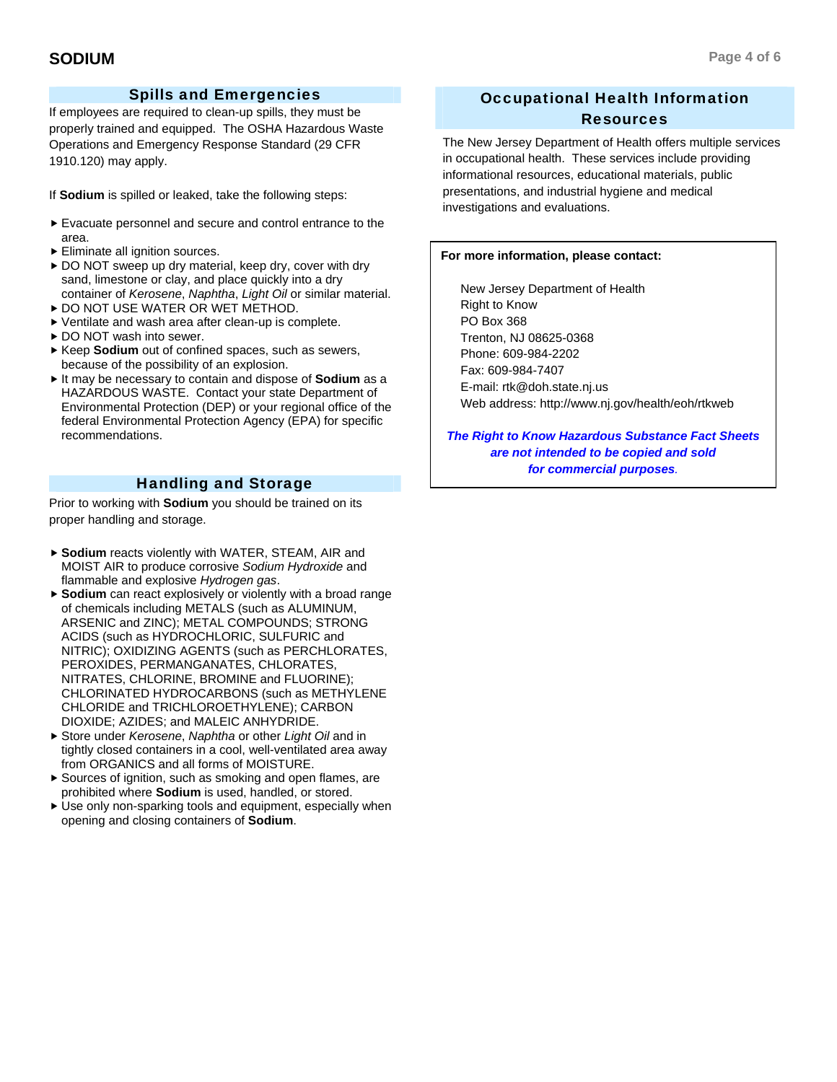## Spills and Emergencies

If employees are required to clean-up spills, they must be properly trained and equipped. The OSHA Hazardous Waste Operations and Emergency Response Standard (29 CFR 1910.120) may apply.

If **Sodium** is spilled or leaked, take the following steps:

- $\blacktriangleright$  Evacuate personnel and secure and control entrance to the area.
- $\blacktriangleright$  Eliminate all ignition sources.
- ▶ DO NOT sweep up dry material, keep dry, cover with dry sand, limestone or clay, and place quickly into a dry container of *Kerosene*, *Naphtha*, *Light Oil* or similar material.
- **DO NOT USE WATER OR WET METHOD.**
- $\blacktriangleright$  Ventilate and wash area after clean-up is complete.
- ▶ DO NOT wash into sewer.
- ► Keep **Sodium** out of confined spaces, such as sewers, because of the possibility of an explosion.
- It may be necessary to contain and dispose of **Sodium** as a HAZARDOUS WASTE. Contact your state Department of Environmental Protection (DEP) or your regional office of the federal Environmental Protection Agency (EPA) for specific recommendations.

## Handling and Storage

Prior to working with **Sodium** you should be trained on its proper handling and storage.

- ▶ Sodium reacts violently with WATER, STEAM, AIR and MOIST AIR to produce corrosive *Sodium Hydroxide* and flammable and explosive *Hydrogen gas*.
- ▶ Sodium can react explosively or violently with a broad range of chemicals including METALS (such as ALUMINUM, ARSENIC and ZINC); METAL COMPOUNDS; STRONG ACIDS (such as HYDROCHLORIC, SULFURIC and NITRIC); OXIDIZING AGENTS (such as PERCHLORATES, PEROXIDES, PERMANGANATES, CHLORATES, NITRATES, CHLORINE, BROMINE and FLUORINE); CHLORINATED HYDROCARBONS (such as METHYLENE CHLORIDE and TRICHLOROETHYLENE); CARBON DIOXIDE; AZIDES; and MALEIC ANHYDRIDE.
- ▶ Store under *Kerosene*, *Naphtha* or other *Light Oil* and in tightly closed containers in a cool, well-ventilated area away from ORGANICS and all forms of MOISTURE.
- $\blacktriangleright$  Sources of ignition, such as smoking and open flames, are prohibited where **Sodium** is used, handled, or stored.
- $\blacktriangleright$  Use only non-sparking tools and equipment, especially when opening and closing containers of **Sodium**.

# Occupational Health Information Resources

The New Jersey Department of Health offers multiple services in occupational health. These services include providing informational resources, educational materials, public presentations, and industrial hygiene and medical investigations and evaluations.

#### **For more information, please contact:**

 New Jersey Department of Health Right to Know PO Box 368 Trenton, NJ 08625-0368 Phone: 609-984-2202 Fax: 609-984-7407 E-mail: rtk@doh.state.nj.us Web address: http://www.nj.gov/health/eoh/rtkweb

*The Right to Know Hazardous Substance Fact Sheets are not intended to be copied and sold for commercial purposes.*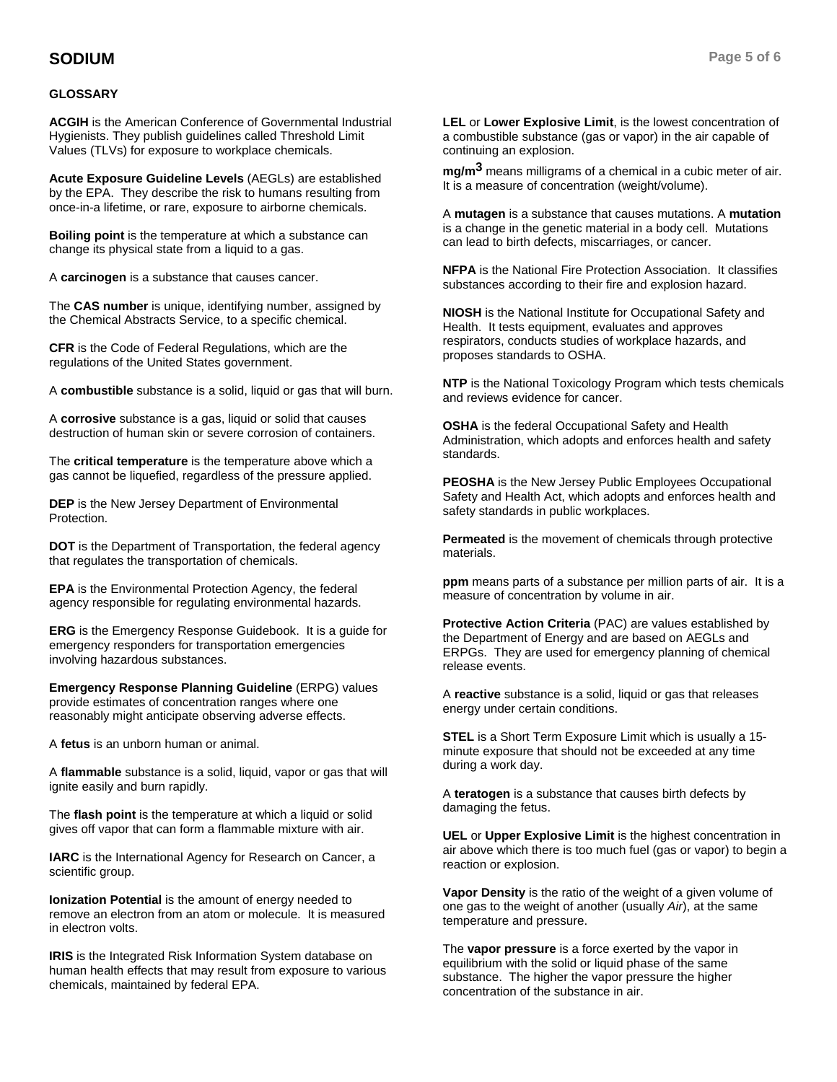#### **GLOSSARY**

**ACGIH** is the American Conference of Governmental Industrial Hygienists. They publish guidelines called Threshold Limit Values (TLVs) for exposure to workplace chemicals.

**Acute Exposure Guideline Levels** (AEGLs) are established by the EPA. They describe the risk to humans resulting from once-in-a lifetime, or rare, exposure to airborne chemicals.

**Boiling point** is the temperature at which a substance can change its physical state from a liquid to a gas.

A **carcinogen** is a substance that causes cancer.

The **CAS number** is unique, identifying number, assigned by the Chemical Abstracts Service, to a specific chemical.

**CFR** is the Code of Federal Regulations, which are the regulations of the United States government.

A **combustible** substance is a solid, liquid or gas that will burn.

A **corrosive** substance is a gas, liquid or solid that causes destruction of human skin or severe corrosion of containers.

The **critical temperature** is the temperature above which a gas cannot be liquefied, regardless of the pressure applied.

**DEP** is the New Jersey Department of Environmental Protection.

**DOT** is the Department of Transportation, the federal agency that regulates the transportation of chemicals.

**EPA** is the Environmental Protection Agency, the federal agency responsible for regulating environmental hazards.

**ERG** is the Emergency Response Guidebook. It is a guide for emergency responders for transportation emergencies involving hazardous substances.

**Emergency Response Planning Guideline** (ERPG) values provide estimates of concentration ranges where one reasonably might anticipate observing adverse effects.

A **fetus** is an unborn human or animal.

A **flammable** substance is a solid, liquid, vapor or gas that will ignite easily and burn rapidly.

The **flash point** is the temperature at which a liquid or solid gives off vapor that can form a flammable mixture with air.

**IARC** is the International Agency for Research on Cancer, a scientific group.

**Ionization Potential** is the amount of energy needed to remove an electron from an atom or molecule. It is measured in electron volts.

**IRIS** is the Integrated Risk Information System database on human health effects that may result from exposure to various chemicals, maintained by federal EPA.

**LEL** or **Lower Explosive Limit**, is the lowest concentration of a combustible substance (gas or vapor) in the air capable of continuing an explosion.

**mg/m3** means milligrams of a chemical in a cubic meter of air. It is a measure of concentration (weight/volume).

A **mutagen** is a substance that causes mutations. A **mutation** is a change in the genetic material in a body cell. Mutations can lead to birth defects, miscarriages, or cancer.

**NFPA** is the National Fire Protection Association. It classifies substances according to their fire and explosion hazard.

**NIOSH** is the National Institute for Occupational Safety and Health. It tests equipment, evaluates and approves respirators, conducts studies of workplace hazards, and proposes standards to OSHA.

**NTP** is the National Toxicology Program which tests chemicals and reviews evidence for cancer.

**OSHA** is the federal Occupational Safety and Health Administration, which adopts and enforces health and safety standards.

**PEOSHA** is the New Jersey Public Employees Occupational Safety and Health Act, which adopts and enforces health and safety standards in public workplaces.

**Permeated** is the movement of chemicals through protective materials.

**ppm** means parts of a substance per million parts of air. It is a measure of concentration by volume in air.

**Protective Action Criteria** (PAC) are values established by the Department of Energy and are based on AEGLs and ERPGs. They are used for emergency planning of chemical release events.

A **reactive** substance is a solid, liquid or gas that releases energy under certain conditions.

**STEL** is a Short Term Exposure Limit which is usually a 15 minute exposure that should not be exceeded at any time during a work day.

A **teratogen** is a substance that causes birth defects by damaging the fetus.

**UEL** or **Upper Explosive Limit** is the highest concentration in air above which there is too much fuel (gas or vapor) to begin a reaction or explosion.

**Vapor Density** is the ratio of the weight of a given volume of one gas to the weight of another (usually *Air*), at the same temperature and pressure.

The **vapor pressure** is a force exerted by the vapor in equilibrium with the solid or liquid phase of the same substance. The higher the vapor pressure the higher concentration of the substance in air.